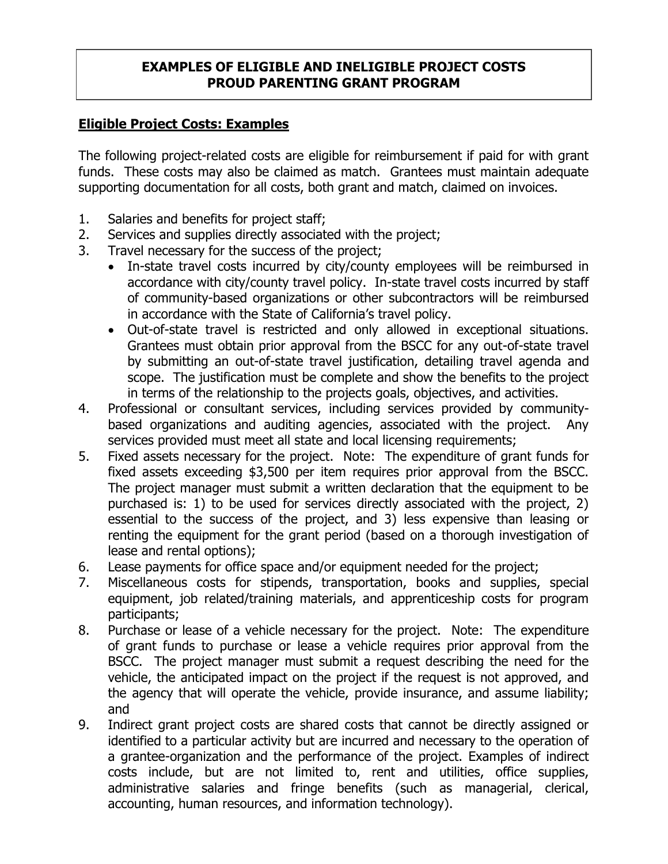## **EXAMPLES OF ELIGIBLE AND INELIGIBLE PROJECT COSTS PROUD PARENTING GRANT PROGRAM**

## **Eligible Project Costs: Examples**

The following project-related costs are eligible for reimbursement if paid for with grant funds. These costs may also be claimed as match. Grantees must maintain adequate supporting documentation for all costs, both grant and match, claimed on invoices.

- 1. Salaries and benefits for project staff;
- 2. Services and supplies directly associated with the project;
- 3. Travel necessary for the success of the project;
	- In-state travel costs incurred by city/county employees will be reimbursed in accordance with city/county travel policy. In-state travel costs incurred by staff of community-based organizations or other subcontractors will be reimbursed in accordance with the State of California's travel policy.
	- Out-of-state travel is restricted and only allowed in exceptional situations. Grantees must obtain prior approval from the BSCC for any out-of-state travel by submitting an out-of-state travel justification, detailing travel agenda and scope. The justification must be complete and show the benefits to the project in terms of the relationship to the projects goals, objectives, and activities.
- 4. Professional or consultant services, including services provided by communitybased organizations and auditing agencies, associated with the project. Any services provided must meet all state and local licensing requirements;
- 5. Fixed assets necessary for the project. Note: The expenditure of grant funds for fixed assets exceeding \$3,500 per item requires prior approval from the BSCC. The project manager must submit a written declaration that the equipment to be purchased is: 1) to be used for services directly associated with the project, 2) essential to the success of the project, and 3) less expensive than leasing or renting the equipment for the grant period (based on a thorough investigation of lease and rental options);
- 6. Lease payments for office space and/or equipment needed for the project;
- 7. Miscellaneous costs for stipends, transportation, books and supplies, special equipment, job related/training materials, and apprenticeship costs for program participants;
- 8. Purchase or lease of a vehicle necessary for the project. Note: The expenditure of grant funds to purchase or lease a vehicle requires prior approval from the BSCC. The project manager must submit a request describing the need for the vehicle, the anticipated impact on the project if the request is not approved, and the agency that will operate the vehicle, provide insurance, and assume liability; and
- 9. Indirect grant project costs are shared costs that cannot be directly assigned or identified to a particular activity but are incurred and necessary to the operation of a grantee-organization and the performance of the project. Examples of indirect costs include, but are not limited to, rent and utilities, office supplies, administrative salaries and fringe benefits (such as managerial, clerical, accounting, human resources, and information technology).